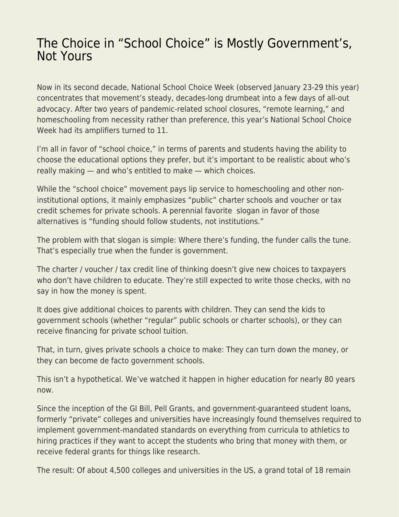## [The Choice in "School Choice" is Mostly Government's,](https://everything-voluntary.com/the-choice-in-school-choice-is-mostly-governments-not-yours) [Not Yours](https://everything-voluntary.com/the-choice-in-school-choice-is-mostly-governments-not-yours)

Now in its second decade, National School Choice Week (observed January 23-29 this year) concentrates that movement's steady, decades-long drumbeat into a few days of all-out advocacy. After two years of pandemic-related school closures, "remote learning," and homeschooling from necessity rather than preference, this year's National School Choice Week had its amplifiers turned to 11.

I'm all in favor of "school choice," in terms of parents and students having the ability to choose the educational options they prefer, but it's important to be realistic about who's really making — and who's entitled to make — which choices.

While the "school choice" movement pays lip service to homeschooling and other noninstitutional options, it mainly emphasizes "public" charter schools and voucher or tax credit schemes for private schools. A perennial favorite slogan in favor of those alternatives is "funding should follow students, not institutions."

The problem with that slogan is simple: Where there's funding, the funder calls the tune. That's especially true when the funder is government.

The charter / voucher / tax credit line of thinking doesn't give new choices to taxpayers who don't have children to educate. They're still expected to write those checks, with no say in how the money is spent.

It does give additional choices to parents with children. They can send the kids to government schools (whether "regular" public schools or charter schools), or they can receive financing for private school tuition.

That, in turn, gives private schools a choice to make: They can turn down the money, or they can become de facto government schools.

This isn't a hypothetical. We've watched it happen in higher education for nearly 80 years now.

Since the inception of the GI Bill, Pell Grants, and government-guaranteed student loans, formerly "private" colleges and universities have increasingly found themselves required to implement government-mandated standards on everything from curricula to athletics to hiring practices if they want to accept the students who bring that money with them, or receive federal grants for things like research.

The result: Of about 4,500 colleges and universities in the US, a grand total of 18 remain